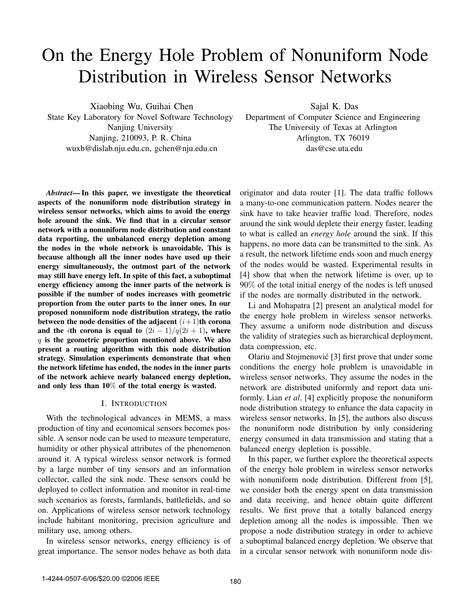# On the Energy Hole Problem of Nonuniform Node Distribution in Wireless Sensor Networks

Xiaobing Wu, Guihai Chen

State Key Laboratory for Novel Software Technology Nanjing University Nanjing, 210093, P. R. China wuxb@dislab.nju.edu.cn, gchen@nju.edu.cn

*Abstract***— In this paper, we investigate the theoretical aspects of the nonuniform node distribution strategy in wireless sensor networks, which aims to avoid the energy hole around the sink. We find that in a circular sensor network with a nonuniform node distribution and constant data reporting, the unbalanced energy depletion among the nodes in the whole network is unavoidable. This is because although all the inner nodes have used up their energy simultaneously, the outmost part of the network may still have energy left. In spite of this fact, a suboptimal energy efficiency among the inner parts of the network is possible if the number of nodes increases with geometric proportion from the outer parts to the inner ones. In our proposed nonuniform node distribution strategy, the ratio between the node densities of the adjacent**  $(i+1)$ **th corona and the** *i*th corona is equal to  $(2i - 1)/q(2i + 1)$ , where q **is the geometric proportion mentioned above. We also present a routing algorithm with this node distribution strategy. Simulation experiments demonstrate that when the network lifetime has ended, the nodes in the inner parts of the network achieve nearly balanced energy depletion, and only less than 10**% **of the total energy is wasted.**

## I. INTRODUCTION

With the technological advances in MEMS, a mass production of tiny and economical sensors becomes possible. A sensor node can be used to measure temperature, humidity or other physical attributes of the phenomenon around it. A typical wireless sensor network is formed by a large number of tiny sensors and an information collector, called the sink node. These sensors could be deployed to collect information and monitor in real-time such scenarios as forests, farmlands, battlefields, and so on. Applications of wireless sensor network technology include habitant monitoring, precision agriculture and military use, among others.

In wireless sensor networks, energy efficiency is of great importance. The sensor nodes behave as both data

Sajal K. Das

Department of Computer Science and Engineering The University of Texas at Arlington Arlington, TX 76019 das@cse.uta.edu

originator and data router [1]. The data traffic follows a many-to-one communication pattern. Nodes nearer the sink have to take heavier traffic load. Therefore, nodes around the sink would deplete their energy faster, leading to what is called an *energy hole* around the sink. If this happens, no more data can be transmitted to the sink. As a result, the network lifetime ends soon and much energy of the nodes would be wasted. Experimental results in [4] show that when the network lifetime is over, up to 90% of the total initial energy of the nodes is left unused if the nodes are normally distributed in the network.

Li and Mohapatra [2] present an analytical model for the energy hole problem in wireless sensor networks. They assume a uniform node distribution and discuss the validity of strategies such as hierarchical deployment, data compression, etc.

Olariu and Stojmenovic [3] first prove that under some ´ conditions the energy hole problem is unavoidable in wireless sensor networks. They assume the nodes in the network are distributed uniformly and report data uniformly. Lian *et al*. [4] explicitly propose the nonuniform node distribution strategy to enhance the data capacity in wireless sensor networks. In [5], the authors also discuss the nonuniform node distribution by only considering energy consumed in data transmission and stating that a balanced energy depletion is possible.

In this paper, we further explore the theoretical aspects of the energy hole problem in wireless sensor networks with nonuniform node distribution. Different from [5], we consider both the energy spent on data transmission and data receiving, and hence obtain quite different results. We first prove that a totally balanced energy depletion among all the nodes is impossible. Then we propose a node distribution strategy in order to achieve a suboptimal balanced energy depletion. We observe that in a circular sensor network with nonuniform node dis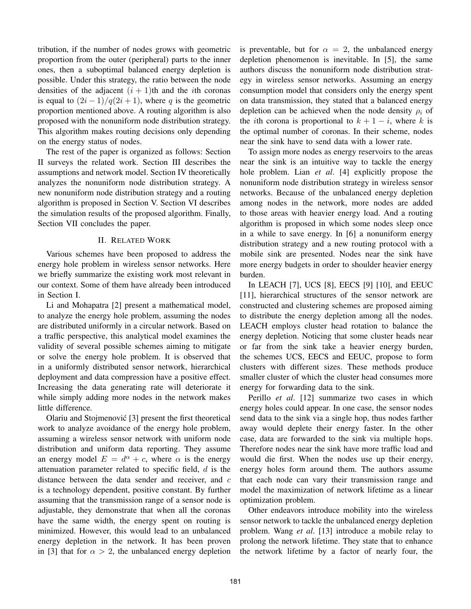tribution, if the number of nodes grows with geometric proportion from the outer (peripheral) parts to the inner ones, then a suboptimal balanced energy depletion is possible. Under this strategy, the ratio between the node densities of the adjacent  $(i + 1)$ th and the *i*th coronas is equal to  $(2i - 1)/q(2i + 1)$ , where q is the geometric proportion mentioned above. A routing algorithm is also proposed with the nonuniform node distribution strategy. This algorithm makes routing decisions only depending on the energy status of nodes.

The rest of the paper is organized as follows: Section II surveys the related work. Section III describes the assumptions and network model. Section IV theoretically analyzes the nonuniform node distribution strategy. A new nonuniform node distribution strategy and a routing algorithm is proposed in Section V. Section VI describes the simulation results of the proposed algorithm. Finally, Section VII concludes the paper.

# II. RELATED WORK

Various schemes have been proposed to address the energy hole problem in wireless sensor networks. Here we briefly summarize the existing work most relevant in our context. Some of them have already been introduced in Section I.

Li and Mohapatra [2] present a mathematical model, to analyze the energy hole problem, assuming the nodes are distributed uniformly in a circular network. Based on a traffic perspective, this analytical model examines the validity of several possible schemes aiming to mitigate or solve the energy hole problem. It is observed that in a uniformly distributed sensor network, hierarchical deployment and data compression have a positive effect. Increasing the data generating rate will deteriorate it while simply adding more nodes in the network makes little difference.

Olariu and Stojmenovic [3] present the first theoretical ´ work to analyze avoidance of the energy hole problem, assuming a wireless sensor network with uniform node distribution and uniform data reporting. They assume an energy model  $E = d^{\alpha} + c$ , where  $\alpha$  is the energy attenuation parameter related to specific field, d is the distance between the data sender and receiver, and c is a technology dependent, positive constant. By further assuming that the transmission range of a sensor node is adjustable, they demonstrate that when all the coronas have the same width, the energy spent on routing is minimized. However, this would lead to an unbalanced energy depletion in the network. It has been proven in [3] that for  $\alpha > 2$ , the unbalanced energy depletion is preventable, but for  $\alpha = 2$ , the unbalanced energy depletion phenomenon is inevitable. In [5], the same authors discuss the nonuniform node distribution strategy in wireless sensor networks. Assuming an energy consumption model that considers only the energy spent on data transmission, they stated that a balanced energy depletion can be achieved when the node density  $\rho_i$  of the *i*th corona is proportional to  $k + 1 - i$ , where k is the optimal number of coronas. In their scheme, nodes near the sink have to send data with a lower rate.

To assign more nodes as energy reservoirs to the areas near the sink is an intuitive way to tackle the energy hole problem. Lian *et al*. [4] explicitly propose the nonuniform node distribution strategy in wireless sensor networks. Because of the unbalanced energy depletion among nodes in the network, more nodes are added to those areas with heavier energy load. And a routing algorithm is proposed in which some nodes sleep once in a while to save energy. In [6] a nonuniform energy distribution strategy and a new routing protocol with a mobile sink are presented. Nodes near the sink have more energy budgets in order to shoulder heavier energy burden.

In LEACH [7], UCS [8], EECS [9] [10], and EEUC [11], hierarchical structures of the sensor network are constructed and clustering schemes are proposed aiming to distribute the energy depletion among all the nodes. LEACH employs cluster head rotation to balance the energy depletion. Noticing that some cluster heads near or far from the sink take a heavier energy burden, the schemes UCS, EECS and EEUC, propose to form clusters with different sizes. These methods produce smaller cluster of which the cluster head consumes more energy for forwarding data to the sink.

Perillo *et al*. [12] summarize two cases in which energy holes could appear. In one case, the sensor nodes send data to the sink via a single hop, thus nodes farther away would deplete their energy faster. In the other case, data are forwarded to the sink via multiple hops. Therefore nodes near the sink have more traffic load and would die first. When the nodes use up their energy, energy holes form around them. The authors assume that each node can vary their transmission range and model the maximization of network lifetime as a linear optimization problem.

Other endeavors introduce mobility into the wireless sensor network to tackle the unbalanced energy depletion problem. Wang *et al*. [13] introduce a mobile relay to prolong the network lifetime. They state that to enhance the network lifetime by a factor of nearly four, the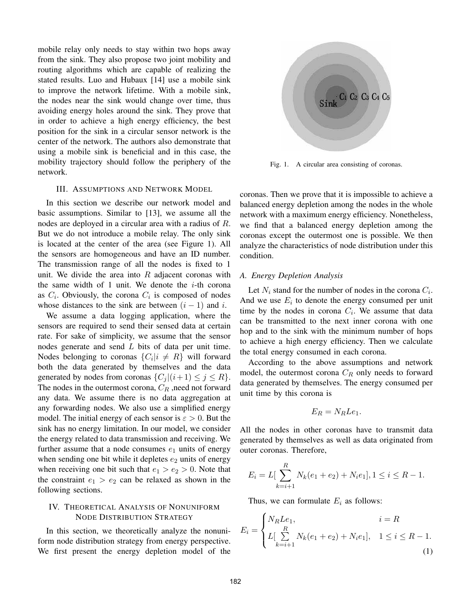mobile relay only needs to stay within two hops away from the sink. They also propose two joint mobility and routing algorithms which are capable of realizing the stated results. Luo and Hubaux [14] use a mobile sink to improve the network lifetime. With a mobile sink, the nodes near the sink would change over time, thus avoiding energy holes around the sink. They prove that in order to achieve a high energy efficiency, the best position for the sink in a circular sensor network is the center of the network. The authors also demonstrate that using a mobile sink is beneficial and in this case, the mobility trajectory should follow the periphery of the network.

## III. ASSUMPTIONS AND NETWORK MODEL

In this section we describe our network model and basic assumptions. Similar to [13], we assume all the nodes are deployed in a circular area with a radius of R. But we do not introduce a mobile relay. The only sink is located at the center of the area (see Figure 1). All the sensors are homogeneous and have an ID number. The transmission range of all the nodes is fixed to 1 unit. We divide the area into  $R$  adjacent coronas with the same width of 1 unit. We denote the  $i$ -th corona as  $C_i$ . Obviously, the corona  $C_i$  is composed of nodes whose distances to the sink are between  $(i - 1)$  and i.

We assume a data logging application, where the sensors are required to send their sensed data at certain rate. For sake of simplicity, we assume that the sensor nodes generate and send L bits of data per unit time. Nodes belonging to coronas  $\{C_i|i \neq R\}$  will forward both the data generated by themselves and the data generated by nodes from coronas  $\{C_i | (i+1) \leq j \leq R\}.$ The nodes in the outermost corona,  $C_R$ , need not forward any data. We assume there is no data aggregation at any forwarding nodes. We also use a simplified energy model. The initial energy of each sensor is  $\varepsilon > 0$ . But the sink has no energy limitation. In our model, we consider the energy related to data transmission and receiving. We further assume that a node consumes  $e_1$  units of energy when sending one bit while it depletes  $e_2$  units of energy when receiving one bit such that  $e_1 > e_2 > 0$ . Note that the constraint  $e_1 > e_2$  can be relaxed as shown in the following sections.

# IV. THEORETICAL ANALYSIS OF NONUNIFORM NODE DISTRIBUTION STRATEGY

In this section, we theoretically analyze the nonuniform node distribution strategy from energy perspective. We first present the energy depletion model of the



Fig. 1. A circular area consisting of coronas.

coronas. Then we prove that it is impossible to achieve a balanced energy depletion among the nodes in the whole network with a maximum energy efficiency. Nonetheless, we find that a balanced energy depletion among the coronas except the outermost one is possible. We then analyze the characteristics of node distribution under this condition.

#### *A. Energy Depletion Analysis*

Let  $N_i$  stand for the number of nodes in the corona  $C_i$ . And we use  $E_i$  to denote the energy consumed per unit time by the nodes in corona  $C_i$ . We assume that data can be transmitted to the next inner corona with one hop and to the sink with the minimum number of hops to achieve a high energy efficiency. Then we calculate the total energy consumed in each corona.

According to the above assumptions and network model, the outermost corona  $C_R$  only needs to forward data generated by themselves. The energy consumed per unit time by this corona is

$$
E_R = N_R L e_1.
$$

All the nodes in other coronas have to transmit data generated by themselves as well as data originated from outer coronas. Therefore,

$$
E_i = L[\sum_{k=i+1}^{R} N_k(e_1 + e_2) + N_i e_1], 1 \le i \le R - 1.
$$

Thus, we can formulate  $E_i$  as follows:

$$
E_i = \begin{cases} N_R L e_1, & i = R \\ L \left[ \sum_{k=i+1}^R N_k (e_1 + e_2) + N_i e_1 \right], & 1 \le i \le R - 1. \end{cases}
$$
(1)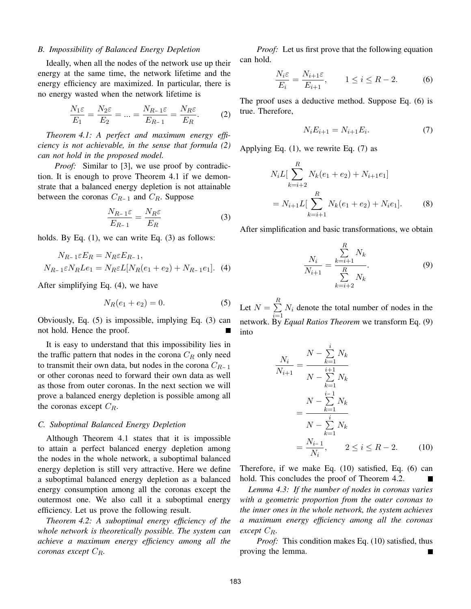## *B. Impossibility of Balanced Energy Depletion*

Ideally, when all the nodes of the network use up their energy at the same time, the network lifetime and the energy efficiency are maximized. In particular, there is no energy wasted when the network lifetime is

$$
\frac{N_1\varepsilon}{E_1} = \frac{N_2\varepsilon}{E_2} = \dots = \frac{N_{R-1}\varepsilon}{E_{R-1}} = \frac{N_R\varepsilon}{E_R}.
$$
 (2)

*Theorem 4.1: A perfect and maximum energy efficiency is not achievable, in the sense that formula (2) can not hold in the proposed model.*

*Proof:* Similar to [3], we use proof by contradiction. It is enough to prove Theorem 4.1 if we demonstrate that a balanced energy depletion is not attainable between the coronas  $C_{R-1}$  and  $C_R$ . Suppose

$$
\frac{N_{R-1}\varepsilon}{E_{R-1}} = \frac{N_R\varepsilon}{E_R} \tag{3}
$$

holds. By Eq. (1), we can write Eq. (3) as follows:

$$
N_{R-1}\varepsilon E_R = N_R \varepsilon E_{R-1},
$$
  
\n
$$
N_{R-1}\varepsilon N_R L e_1 = N_R \varepsilon L[N_R(e_1 + e_2) + N_{R-1}e_1].
$$
 (4)

After simplifying Eq. (4), we have

$$
N_R(e_1 + e_2) = 0.
$$
 (5)

Obviously, Eq. (5) is impossible, implying Eq. (3) can not hold. Hence the proof.

It is easy to understand that this impossibility lies in the traffic pattern that nodes in the corona  $C_R$  only need to transmit their own data, but nodes in the corona  $C_{R-1}$ or other coronas need to forward their own data as well as those from outer coronas. In the next section we will prove a balanced energy depletion is possible among all the coronas except  $C_R$ .

## *C. Suboptimal Balanced Energy Depletion*

Although Theorem 4.1 states that it is impossible to attain a perfect balanced energy depletion among the nodes in the whole network, a suboptimal balanced energy depletion is still very attractive. Here we define a suboptimal balanced energy depletion as a balanced energy consumption among all the coronas except the outermost one. We also call it a suboptimal energy efficiency. Let us prove the following result.

*Theorem 4.2: A suboptimal energy efficiency of the whole network is theoretically possible. The system can achieve a maximum energy efficiency among all the coronas except* CR*.*

*Proof:* Let us first prove that the following equation can hold.

$$
\frac{N_i \varepsilon}{E_i} = \frac{N_{i+1} \varepsilon}{E_{i+1}}, \qquad 1 \le i \le R - 2. \tag{6}
$$

The proof uses a deductive method. Suppose Eq. (6) is true. Therefore,

$$
N_i E_{i+1} = N_{i+1} E_i.
$$
 (7)

Applying Eq. (1), we rewrite Eq. (7) as

$$
N_i L[\sum_{k=i+2}^{R} N_k(e_1 + e_2) + N_{i+1}e_1]
$$
  
=  $N_{i+1}L[\sum_{k=i+1}^{R} N_k(e_1 + e_2) + N_i e_1].$  (8)

After simplification and basic transformations, we obtain

$$
\frac{N_i}{N_{i+1}} = \frac{\sum_{k=i+1}^{R} N_k}{\sum_{k=i+2}^{R} N_k}.
$$
\n(9)

Let  $N = \sum$ R  $\sum_{i=1}$  $N_i$  denote the total number of nodes in the network. By *Equal Ratios Theorem* we transform Eq. (9) into

$$
\frac{N_i}{N_{i+1}} = \frac{N - \sum_{k=1}^{i} N_k}{N - \sum_{k=1}^{i+1} N_k}
$$

$$
= \frac{N - \sum_{k=1}^{i-1} N_k}{N - \sum_{k=1}^{i} N_k}
$$

$$
= \frac{N_{i-1}}{N_i}, \qquad 2 \le i \le R - 2. \tag{10}
$$

Therefore, if we make Eq. (10) satisfied, Eq. (6) can hold. This concludes the proof of Theorem 4.2.

*Lemma 4.3: If the number of nodes in coronas varies with a geometric proportion from the outer coronas to the inner ones in the whole network, the system achieves a maximum energy efficiency among all the coronas except* CR*.*

*Proof:* This condition makes Eq. (10) satisfied, thus proving the lemma. ۰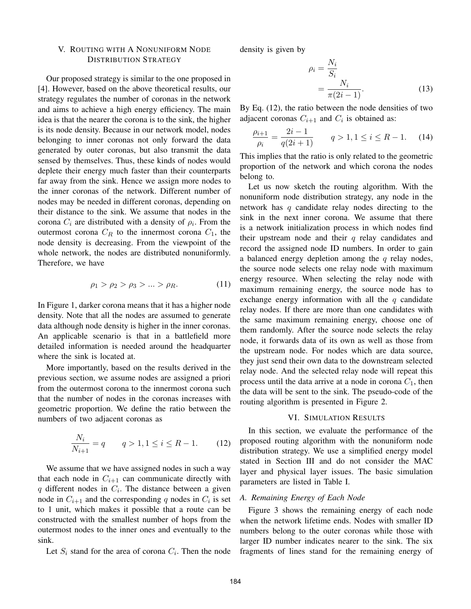# V. ROUTING WITH A NONUNIFORM NODE DISTRIBUTION STRATEGY

Our proposed strategy is similar to the one proposed in [4]. However, based on the above theoretical results, our strategy regulates the number of coronas in the network and aims to achieve a high energy efficiency. The main idea is that the nearer the corona is to the sink, the higher is its node density. Because in our network model, nodes belonging to inner coronas not only forward the data generated by outer coronas, but also transmit the data sensed by themselves. Thus, these kinds of nodes would deplete their energy much faster than their counterparts far away from the sink. Hence we assign more nodes to the inner coronas of the network. Different number of nodes may be needed in different coronas, depending on their distance to the sink. We assume that nodes in the corona  $C_i$  are distributed with a density of  $\rho_i$ . From the outermost corona  $C_R$  to the innermost corona  $C_1$ , the node density is decreasing. From the viewpoint of the whole network, the nodes are distributed nonuniformly. Therefore, we have

$$
\rho_1 > \rho_2 > \rho_3 > \dots > \rho_R. \tag{11}
$$

In Figure 1, darker corona means that it has a higher node density. Note that all the nodes are assumed to generate data although node density is higher in the inner coronas. An applicable scenario is that in a battlefield more detailed information is needed around the headquarter where the sink is located at.

More importantly, based on the results derived in the previous section, we assume nodes are assigned a priori from the outermost corona to the innermost corona such that the number of nodes in the coronas increases with geometric proportion. We define the ratio between the numbers of two adjacent coronas as

$$
\frac{N_i}{N_{i+1}} = q \qquad q > 1, 1 \le i \le R - 1. \tag{12}
$$

We assume that we have assigned nodes in such a way that each node in  $C_{i+1}$  can communicate directly with  $q$  different nodes in  $C_i$ . The distance between a given node in  $C_{i+1}$  and the corresponding q nodes in  $C_i$  is set to 1 unit, which makes it possible that a route can be constructed with the smallest number of hops from the outermost nodes to the inner ones and eventually to the sink.

Let  $S_i$  stand for the area of corona  $C_i$ . Then the node

density is given by

$$
\rho_i = \frac{N_i}{S_i}
$$
  
= 
$$
\frac{N_i}{\pi(2i-1)}.
$$
 (13)

By Eq. (12), the ratio between the node densities of two adjacent coronas  $C_{i+1}$  and  $C_i$  is obtained as:

$$
\frac{\rho_{i+1}}{\rho_i} = \frac{2i - 1}{q(2i + 1)} \qquad q > 1, 1 \le i \le R - 1. \tag{14}
$$

This implies that the ratio is only related to the geometric proportion of the network and which corona the nodes belong to.

Let us now sketch the routing algorithm. With the nonuniform node distribution strategy, any node in the network has q candidate relay nodes directing to the sink in the next inner corona. We assume that there is a network initialization process in which nodes find their upstream node and their  $q$  relay candidates and record the assigned node ID numbers. In order to gain a balanced energy depletion among the  $q$  relay nodes, the source node selects one relay node with maximum energy resource. When selecting the relay node with maximum remaining energy, the source node has to exchange energy information with all the  $q$  candidate relay nodes. If there are more than one candidates with the same maximum remaining energy, choose one of them randomly. After the source node selects the relay node, it forwards data of its own as well as those from the upstream node. For nodes which are data source, they just send their own data to the downstream selected relay node. And the selected relay node will repeat this process until the data arrive at a node in corona  $C_1$ , then the data will be sent to the sink. The pseudo-code of the routing algorithm is presented in Figure 2.

## VI. SIMULATION RESULTS

In this section, we evaluate the performance of the proposed routing algorithm with the nonuniform node distribution strategy. We use a simplified energy model stated in Section III and do not consider the MAC layer and physical layer issues. The basic simulation parameters are listed in Table I.

## *A. Remaining Energy of Each Node*

Figure 3 shows the remaining energy of each node when the network lifetime ends. Nodes with smaller ID numbers belong to the outer coronas while those with larger ID number indicates nearer to the sink. The six fragments of lines stand for the remaining energy of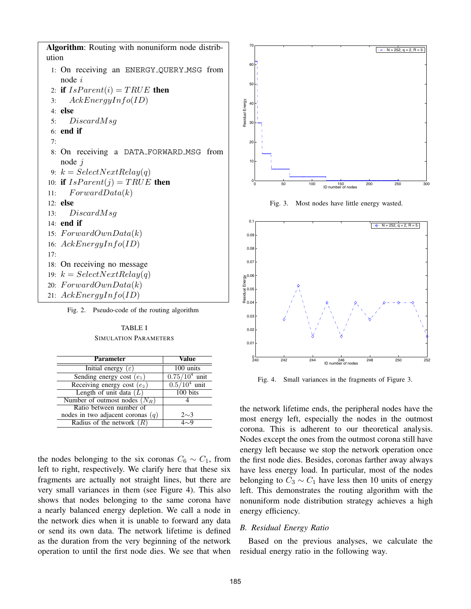**Algorithm**: Routing with nonuniform node distribution 1: On receiving an ENERGY QUERY MSG from node i 2: **if**  $IsParent(i) = TRUE$  **then** 3:  $AcknowledtoningInfo(ID)$ 4: **else** 5: DiscardMsg 6: **end if** 7: 8: On receiving a DATA FORWARD MSG from node *i* 9:  $k = SelectNextRelay(q)$ 10: **if**  $IsParent(i) = TRUE$  **then** 11:  $ForwardData(k)$ 12: **else** 13: DiscardMsg 14: **end if** 15:  $ForwardOwnData(k)$ 16:  $Acknowledton$ 17: 18: On receiving no message 19:  $k = SelectNextRelay(q)$ 20:  $ForwardOwnData(k)$ 21:  $Acknowledtoning of ID)$ 

Fig. 2. Pseudo-code of the routing algorithm

| <b>TABLE I</b>               |
|------------------------------|
| <b>SIMULATION PARAMETERS</b> |

| <b>Parameter</b>                    | Value              |
|-------------------------------------|--------------------|
| Initial energy $(\varepsilon)$      | $100$ units        |
| Sending energy cost $(e_1)$         | $0.75/10^4$ unit   |
| Receiving energy cost $(e_2)$       | $0.5/10^4$ unit    |
| Length of unit data $(L)$           | $100 \text{ bits}$ |
| Number of outmost nodes $(N_R)$     |                    |
| Ratio between number of             |                    |
| nodes in two adjacent coronas $(q)$ | $2\sim3$           |
| Radius of the network $(R)$         |                    |

the nodes belonging to the six coronas  $C_6 \sim C_1$ , from left to right, respectively. We clarify here that these six fragments are actually not straight lines, but there are very small variances in them (see Figure 4). This also shows that nodes belonging to the same corona have a nearly balanced energy depletion. We call a node in the network dies when it is unable to forward any data or send its own data. The network lifetime is defined as the duration from the very beginning of the network operation to until the first node dies. We see that when



Fig. 3. Most nodes have little energy wasted.



Fig. 4. Small variances in the fragments of Figure 3.

the network lifetime ends, the peripheral nodes have the most energy left, especially the nodes in the outmost corona. This is adherent to our theoretical analysis. Nodes except the ones from the outmost corona still have energy left because we stop the network operation once the first node dies. Besides, coronas farther away always have less energy load. In particular, most of the nodes belonging to  $C_3 \sim C_1$  have less then 10 units of energy left. This demonstrates the routing algorithm with the nonuniform node distribution strategy achieves a high energy efficiency.

# *B. Residual Energy Ratio*

Based on the previous analyses, we calculate the residual energy ratio in the following way.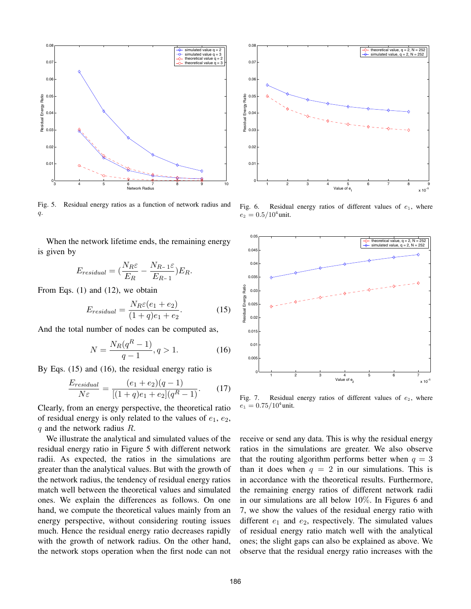

Fig. 5. Residual energy ratios as a function of network radius and q.

When the network lifetime ends, the remaining energy is given by

$$
E_{residual} = (\frac{N_{R}\varepsilon}{E_{R}} - \frac{N_{R-1}\varepsilon}{E_{R-1}})E_{R}.
$$

From Eqs. (1) and (12), we obtain

$$
E_{residual} = \frac{N_R \varepsilon (e_1 + e_2)}{(1 + q)e_1 + e_2}.
$$
 (15)

And the total number of nodes can be computed as,

$$
N = \frac{N_R(q^R - 1)}{q - 1}, q > 1.
$$
 (16)

By Eqs. (15) and (16), the residual energy ratio is

$$
\frac{E_{residual}}{N\varepsilon} = \frac{(e_1 + e_2)(q - 1)}{[(1 + q)e_1 + e_2](q^R - 1)}.
$$
 (17)

Clearly, from an energy perspective, the theoretical ratio of residual energy is only related to the values of  $e_1, e_2$ , q and the network radius R.

We illustrate the analytical and simulated values of the residual energy ratio in Figure 5 with different network radii. As expected, the ratios in the simulations are greater than the analytical values. But with the growth of the network radius, the tendency of residual energy ratios match well between the theoretical values and simulated ones. We explain the differences as follows. On one hand, we compute the theoretical values mainly from an energy perspective, without considering routing issues much. Hence the residual energy ratio decreases rapidly with the growth of network radius. On the other hand, the network stops operation when the first node can not



Fig. 6. Residual energy ratios of different values of  $e_1$ , where  $e_2 = 0.5/10^4$ unit.



Fig. 7. Residual energy ratios of different values of  $e_2$ , where  $e_1 = 0.75/10^4$ unit.

receive or send any data. This is why the residual energy ratios in the simulations are greater. We also observe that the routing algorithm performs better when  $q = 3$ than it does when  $q = 2$  in our simulations. This is in accordance with the theoretical results. Furthermore, the remaining energy ratios of different network radii in our simulations are all below 10%. In Figures 6 and 7, we show the values of the residual energy ratio with different  $e_1$  and  $e_2$ , respectively. The simulated values of residual energy ratio match well with the analytical ones; the slight gaps can also be explained as above. We observe that the residual energy ratio increases with the